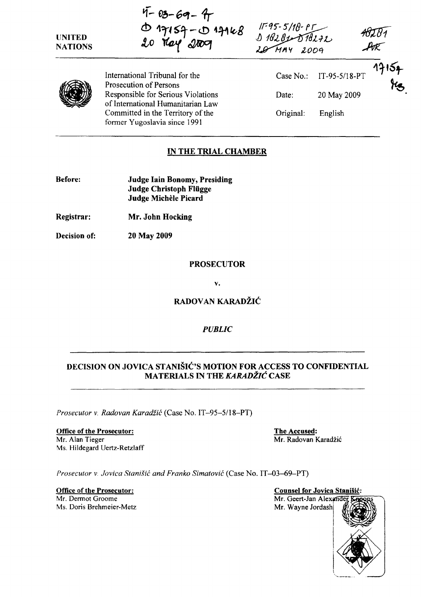| <b>UNITED</b><br><b>NATIONS</b> | $4 - 03 - 69 - 4$<br>$0$ 17154 - 0 17168<br>20 $104$ 2009               | $11 - 95 - 5/18 - 85$<br>$19282 - 518272$<br>$204 - 199$ |               |                             |
|---------------------------------|-------------------------------------------------------------------------|----------------------------------------------------------|---------------|-----------------------------|
|                                 | International Tribunal for the<br>Prosecution of Persons                | Case No.:                                                | IT-95-5/18-PT | $\mathcal{H}_{\mathcal{B}}$ |
|                                 | Responsible for Serious Violations<br>of International Humanitarian Law | Date:                                                    | 20 May 2009   |                             |
|                                 | Committed in the Territory of the<br>former Yugoslavia since 1991       | Original:                                                | English       |                             |

# IN THE TRIAL CHAMBER

| <b>Before:</b> | <b>Judge Iain Bonomy, Presiding</b> |
|----------------|-------------------------------------|
|                | Judge Christoph Flügge              |
|                | Judge Michèle Picard                |

- Registrar: Mr. John Hocking
- Decision of: 20 May 2009

# PROSECUTOR

V.

# RADOVAN KARADŽIĆ

# *PUBLIC*

# DECISION ON JOVICA STANIŠIĆ'S MOTION FOR ACCESS TO CONFIDENTIAL MATERIALS IN THE KARADŽIĆ CASE

*Prosecutor* v. *Radovan* Karadžić (Case No. IT -95-5/l8-PT)

#### Office of the Prosecutor: The Accused: Mr. Alan Tieger Mr. Radovan Karadžić *Ms.* Hildegard Uertz-Retzlaff

*Prosecutor v. Jovica Stanišić and Franko Simatović* (Case No. IT-03-69-PT)

Office of the Prosecutor: Counsel for Jovica Stanišić: Mr. Dermot Groome Ms. Doris Brehmeier-Metz

Mr. Geert-Jan Alexande Mr. Wayne Jordash \*\*\* 1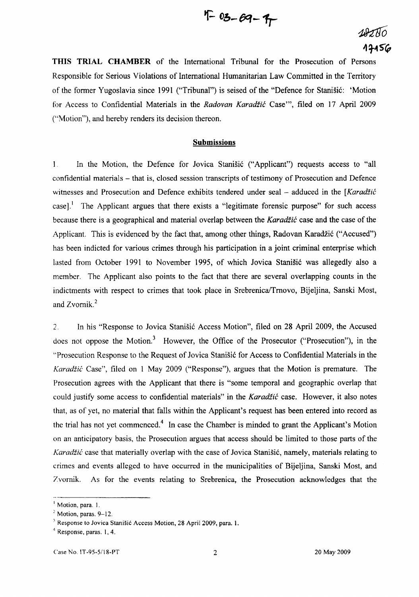$$
4 - 03 - 69 - 9
$$

# 18280 17156

**THIS TRIAL CHAMBER** of the International Tribunal for the Prosecution of Persons Responsible for Serious Violations of International Humanitarian Law Committed in the Territory of the former Yugoslavia since 1991 ("Tribunal") is seised of the "Defence for Stanišić: 'Motion for Access to Confidential Materials in the *Radovan* Karadžić Case"', filed on 17 April 2009 ("Motion"), and hereby renders its decision thereon.

#### **Submissions**

 $\mathbf{1}$ . In the Motion, the Defence for Jovica Stanišić ("Applicant") requests access to "all confidential materials - that is, closed session transcripts of testimony of Prosecution and Defence witnesses and Prosecution and Defence exhibits tendered under seal  $-$  adduced in the [Karadžić case].<sup>1</sup> The Applicant argues that there exists a "legitimate forensic purpose" for such access because there is a geographical and material overlap between the Karadžić case and the case of the Applicant. This is evidenced by the fact that, among other things, Radovan Karadžić ("Accused") has been indicted for various crimes through his participation in a joint criminal enterprise which lasted from October 1991 to November 1995, of which Jovica Stanišić was allegedly also a member. The Applicant also points to the fact that there are several overlapping counts in the indictments with respect to crimes that took place in Srebrenica/Trnovo, Bijeljina, Sanski Most, and Zvornik.<sup>2</sup>

2. In his "Response to Jovica Stanišić Access Motion", filed on 28 April 2009, the Accused does not oppose the Motion.<sup>3</sup> However, the Office of the Prosecutor ("Prosecution"), in the "Prosecution Response to the Request of Jovica Stanišić for Access to Confidential Materials in the Karadžić Case", filed on 1 May 2009 ("Response"), argues that the Motion is premature. The Prosecution agrees with the Applicant that there is "some temporal and geographic overlap that could justify some access to confidential materials" in the Karadžić case. However, it also notes that, as of yet, no material that falls within the Applicant's request has been entered into record as the trial has not yet commenced.<sup>4</sup> In case the Chamber is minded to grant the Applicant's Motion on an anticipatory basis, the Prosecution argues that access should be limited to those parts of the Karadžić case that materially overlap with the case of Jovica Stanišić, namely, materials relating to crimes and events alleged to have occurred in the municipalities of Bijeljina, Sanski Most, and Zvornik. As for the events relating to Srebrenica, the Prosecution acknowledges that the

 $<sup>1</sup>$  Motion, para. 1.</sup>

 $<sup>2</sup>$  Motion, paras. 9-12.</sup>

 $3$  Response to Jovica Stanišić Access Motion, 28 April 2009, para. 1.

<sup>4</sup> Response, paras. 1,4.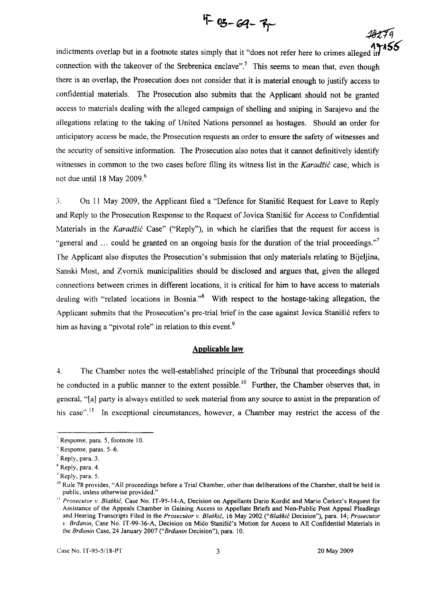

andictments overlap but in a footnote states simply that it "does not refer here to crimes alleged" connection with the takeover of the Srebrenica enclave".<sup>5</sup> This seems to mean that, even though there is an overlap, the Prosecution does not consider that it is material enough to justify access to confidential materials. The Prosecution also submits that the Applicant should not be granted access to materials dealing with the alleged campaign of shelling and sniping in Sarajevo and the allegations relating to the taking of United Nations personnel as hostages. Should an order for anticipatory access be made, the Prosecution requests an order to ensure the safety of witnesses and the security of sensitive information. The Prosecution also notes that it cannot definitively identify witnesses in common to the two cases before filing its witness list in the Karadžić case, which is not due until 18 May 2009. $6$ 

:l. On II May 2009, the Applicant filed a "Defence for Stanišić Request for Leave to Reply and Reply to the Prosecution Response to the Request of Jovica Stanišić for Access to Confidential Materials in the Karadžić Case" ("Reply"), in which he clarifies that the request for access is "general and ... could be granted on an ongoing basis for the duration of the trial proceedings." The Applicant also disputes the Prosecution's submission that only materials relating to Bijeljina, Sanski Most, and Zvornik municipalities should be disclosed and argues that, given the alleged connections between crimes in different locations, it is critical for him to have access to materials dealing with "related locations in Bosnia."<sup>8</sup> With respect to the hostage-taking allegation, the Applicant submits that the Prosecution's pre-trial brief in the case against Jovica Stanišić refers to him as having a "pivotal role" in relation to this event.<sup>9</sup>

#### **Applicable law**

4. The Chamber notes the well-established principle of the Tribunal that proceedings should be conducted in a public manner to the extent possible.<sup>10</sup> Further, the Chamber observes that, in general, "[ a] party is always entitled to seek material from any source to assist in the preparation of his case".<sup>11</sup> In exceptional circumstances, however, a Chamber may restrict the access of the

 $5$  Response, para. 5, footnote 10.

 $\frac{6}{9}$  Response, paras. 5–6.

 $<sup>7</sup>$  Reply, para. 3.</sup>

 $<sup>8</sup>$  Reply, para. 4.</sup>

 $<sup>9</sup>$  Reply, para. 5.</sup>

 $10$  Rule 78 provides, "All proceedings before a Trial Chamber, other than deliberations of the Chamber, shall be held in public, unless otherwise provided."

<sup>&</sup>lt;sup>11</sup> Prosecutor v. Blaškić, Case No. IT-95-14-A, Decision on Appellants Dario Kordić and Mario Čerkez's Request for Assistance of the Appeals Chamber in Gaining Access to Appellate Briefs and Non-Public Post Appeal Pleadings and Hearing Transcripts Filed in the *Prosecutor* v. Blaškić, 16 May 2002 ("Blaškić Decision"), para. 14; *Prosecutor*  v. Brđanin, Case No. IT-99-36-A, Decision on Mićo Stanišić's Motion for Access to All Confidential Materials in the Brđanin Case, 24 January 2007 ("Brđanin Decision"), para. 10.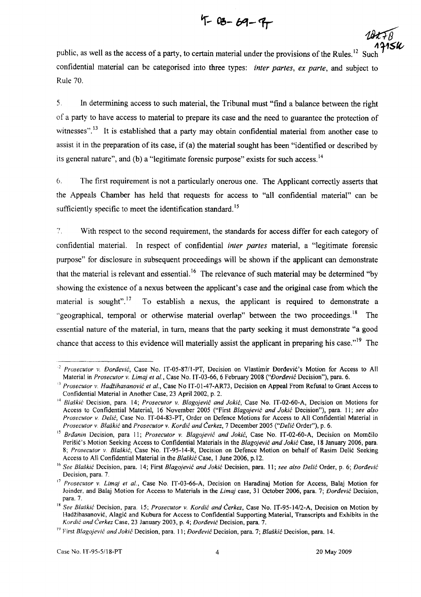$4 - 03 - 69 - 97$ 

public, as well as the access of a party, to certain material under the provisions of the Rules.<sup>12</sup> Sue confidential material can be categorised into three types: *inter partes, ex parte,* and subject to Rule 70.

5. In determining access to such material, the Tribunal must "find a balance between the right of a party to have access to material to prepare its case and the need to guarantee the protection of witnesses".<sup>13</sup> It is established that a party may obtain confidential material from another case to assist it in the preparation of its case, if (a) the material sought has been "identified or described by its general nature", and (b) a "legitimate forensic purpose" exists for such access.<sup>14</sup>

6. The first requirement is not a particularly onerous one. The Applicant correctlyasserts that the Appeals Chamber has held that requests for access to "all confidential material" can be sufficiently specific to meet the identification standard.<sup>15</sup>

 $7^{\circ}$ With respect to the second requirement, the standards for access differ for each category of confidential material. In respect of confidential *inter partes* material, a "legitimate forensic purpose" for disclosure in subsequent proceedings will be shown if the applicant can demonstrate that the material is relevant and essential. 16 The relevance of such material may be determined "by showing the existence of a nexus between the applicant's case and the original case from which the material is sought".<sup>17</sup> To establish a nexus, the applicant is required to demonstrate a "geographical, temporal or otherwise material overlap" between the two proceedings.<sup>18</sup> The essential nature of the material, in turn, means that the party seeking it must demonstrate "a good chance that access to this evidence will materially assist the applicant in preparing his case.<sup> $,19$ </sup> The

<sup>&</sup>lt;sup>2</sup> Prosecutor v. Đorđević, Case No. IT-05-87/1-PT, Decision on Vlastimir Đorđević's Motion for Access to All Material in *Prosecutor v. Limaj et al.,* Case No. IT-03-66, 6 February 2008 ("Đorđević Decision"), para. 6.

<sup>&</sup>lt;sup>33</sup> Prosecutor v. Hadžihasanović et al., Case No IT-01-47-AR73, Decision on Appeal From Refusal to Grant Access to Confidential Material in Another Case, 23 April 2002, p. 2.

<sup>&</sup>lt;sup>14</sup> Blaškić Decision, para. 14; *Prosecutor v. Blagojević and Jokić*, Case No. IT-02-60-A, Decision on Motions for Access to Confidential Material, 16 November 2005 ("First Blagojević *and* Jokić Decision"), para. II; *see also Prosecutor v.* Delić, Case No. IT-04-83-PT, Order on Defence Motions for Access to All Confidential Material in *Prosecutor* v, Blaškić and *Prosecutor* v. Kordić *and* Čerkez, 7 December 2005 ("Delić Order"), p. 6.

<sup>&</sup>lt;sup>15</sup> Brđanin Decision, para 11; Prosecutor v. Blagojević and Jokić, Case No. IT-02-60-A, Decision on Momčilo Perišić's Motion Seeking Access to Confidential Materials in the Blagojević *and* Jokić Case, 18 January 2006, para. *8; Prosecutor v,* Blaškić, Case No. IT-95-14-R, Decision on Defence Motion on behalf of Rasim Delić Seeking Access to All Confidential Material in the Blaškić Case, I June 2006, p.12.

<sup>16</sup>*See* Blaškić Decision, para. 14; First Blagojević *and* Jokić Decision, para. 11; *see also* Delić Order, p. 6; Đorđević Decision, para. 7,

<sup>&</sup>lt;sup>17</sup> Prosecutor v. *Limaj et al.*, Case No. IT-03-66-A, Decision on Haradinaj Motion for Access, Balaj Motion for Joinder, and Balaj Motion for Access to Materials in the *Limaj* case, 31 October 2006, para. 7; Đorđević Decision, para. 7.

<sup>&</sup>lt;sup>18</sup> See Blaškić Decision, para. 15; *Prosecutor v. Kordić and Čerkez*, Case No. IT-95-14/2-A, Decision on Motion by Hadžihasanović, Alagić and Kubura for Access to Confidential Supporting Material, Transcripts and Exhibits in the Kordić *and* Čerkez Case, 23 January 2003, p. 4; Đorđević Decision, para. 7.

<sup>&</sup>lt;sup>19</sup> First Blagojević and Jokić Decision, para. 11; *Đorđević* Decision, para. 7; Blaškić Decision, para. 14.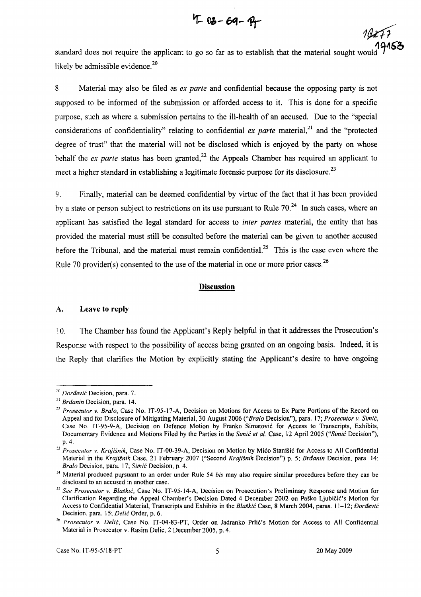$4 - 03 - 69 - 97$ 

standard does not require the applicant to go so far as to establish that the material sought woul likely be admissible evidence. $20$ 

8. Material may also be filed as *ex parte* and confidential because the opposing party is not supposed to be informed of the submission or afforded access to it. This is done for a specific purpose, such as where a submission pertains to the ill-health of an accused. Due to the "special considerations of confidentiality" relating to confidential *ex parte* material,<sup>21</sup> and the "protected" degree of trust" that the material will not be disclosed which is enjoyed by the party on whose behalf the *ex parte* status has been granted,<sup>22</sup> the Appeals Chamber has required an applicant to meet a higher standard in establishing a legitimate forensic purpose for its disclosure.<sup>23</sup>

9. Finally, material can be deemed confidential by virtue of the fact that it has been provided by a state or person subject to restrictions on its use pursuant to Rule  $70<sup>24</sup>$  In such cases, where an applicant has satisfied the legal standard for access to *inter partes* material, the entity that has provided the material must still be consulted before the material can be given to another accused before the Tribunal, and the material must remain confidential.<sup>25</sup> This is the case even where the Rule 70 provider(s) consented to the use of the material in one or more prior cases.<sup>26</sup>

# **Discussion**

#### A. Leave **to reply**

10. The Chamber has found the Applicant's Reply helpful in that it addresses the Prosecution's Response with respect to the possibility of access being granted on an ongoing basis. Indeed, it is the Reply that clarifies the Motion by explicitly stating the Applicant's desire to have ongoing

19277

 $^{20}$  Dorđević Decision, para. 7.

 $^{21}$  Brdanin Decision, para. 14.

*<sup>:&#</sup>x27;2 Prosecutor* v. *Bralo,* Case No. IT-95-17-A, Decision on Motions for Access to Ex Parte Portions of the Record on Appeal and for Disclosure of Mitigating Material, 30 August 2006 *("Bralo* Decision"), para. 17; *Prosecutor* v. Simić, Case No. IT-95-9-A, Decision on Defence Motion by Franko Simatović for Access to Transcripts, Exhibits, Documentary Evidence and Motions Filed by the Parties in the Simić *et al.* Case, 12 April 2005 ("Simić Decision"), p.4.

*<sup>&#</sup>x27;3 Prosecutor* v. *Krajišnik,* Case No. IT-00-39-A, Decision on Motion by Mićo Stanišić for Access to All Confidential Material in the *Krajišnik* Case, 21 February 2007 ("Second *Krajišnik* Decision") p. 5; Brđanin Decision, para. 14; *Bralo* Decision, para. 17; Simić Decision, p. 4.

<sup>&</sup>lt;sup>24</sup> Material produced pursuant to an order under Rule 54 *bis* may also require similar procedures before they can be disclosed to an accused in another case.

*<sup>&#</sup>x27;5 See Prosecutor* v. BlaškiĆ, Case No. IT-95-14-A, Decision on Prosecution's Preliminary Response and Motion for Clarification Regarding the Appeal Chamber's Decision Dated 4 December 2002 on Paško Ljubičić's Motion for Access to Confidential Material, Transcripts and Exhibits in the Blaškić Case, 8 March 2004, paras. 11-12; Đorđević Decision, para. 15; Delić Order, p. 6.

*<sup>26</sup> Prosecutor* v. Delić, Case No. IT-04-83-PT, Order on Jadranko Prlić's Motion for Access to All Confidential Material in Prosecutor v. Rasim Delić, 2 December 2005, p. 4.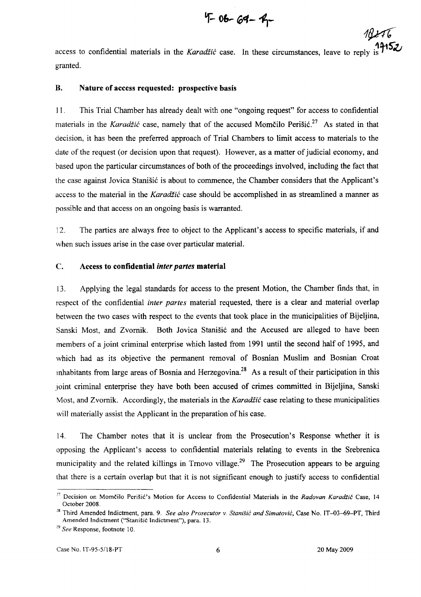$4 - 06 - 64 - 4$ 

 $18276$ 

access to confidential materials in the *Karadžić* case. In these circumstances, leave to reply is  $\mathbf{I}^{\text{max}}$ granted.

# B. Nature of access requested: prospective basis

ll. This Trial Chamber has already dealt with one "ongoing request" for access to confidential materials in the Karadžić case, namely that of the accused Momčilo Perišić.<sup>27</sup> As stated in that decision, it has been the preferred approach of Trial Chambers to limit access to materials to the date of the request (or decision upon that request). However, as a matter of judicial economy, and based upon the particular circumstances of both of the proceedings involved, including the fact that the case against Jovica Stanišić is about to commence, the Chamber considers that the Applicant's access to the material in the Karadžić case should be accomplished in as streamlined a manner as possible and that access on an ongoing basis is warranted.

12. The parties are always free to object to the Applicant's access to specific materials, if and when such issues arise in the case over particular material.

### C. Access to confidential *inter partes* material

13. Applying the legal standards for access to the present Motion, the Chamber finds that, in respect of the confidential *inter partes* material requested, there is a clear and material overlap between the two cases with respect to the events that took place in the municipalities of Bijeljina, Sanski Most, and Zvornik. Both Jovica Stanišić and the Accused are alleged to have been members of a joint criminal enterprise which lasted from 1991 until the second half of 1995, and which had as its objective the permanent removal of Bosnian Muslim and Bosnian Croat inhabitants from large areas of Bosnia and Herzegovina.<sup>28</sup> As a result of their participation in this joint criminal enterprise they have both been accused of crimes committed in Bijeljina, Sanski Most, and Zvornik. Accordingly, the materials in the Karadžić case relating to these municipalities will materially assist the Applicant in the preparation of his case.

14. The Chamber notes that it is unclear from the Prosecution's Response whether it is opposing the Applicant' s access to confidential materials relating to events in the Srebrenica municipality and the related killings in Trnovo village.<sup>29</sup> The Prosecution appears to be arguing that there is a certain overlap but that it is not significant enough to justify access to confidential

<sup>!7</sup> Decision on Momčilo Perišić's Motion for Access to Confidential Materials in the *Radovan* Karadžić Case, 14 October 2008.

<sup>&</sup>lt;sup>28</sup> Third Amended Indictment, para. 9. *See also Prosecutor v. Stanišić and Simatović*, Case No. IT-03-69-PT, Third Amended Indictment ("Stanišić Indictment"), para. 13.

*<sup>29</sup> See* Response, footnote 10.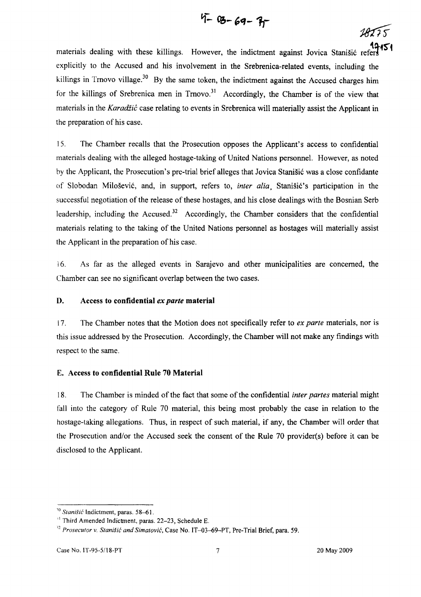$$
4 - 8 - 69 - 77
$$

 $28275$ 

materials dealing with these killings. However, the indictment against Jovica Stanišić ref explicitly to the Accused and his involvement in the Srebrenica-related events, including the killings in Trnovo village.<sup>30</sup> By the same token, the indictment against the Accused charges him for the killings of Srebrenica men in  $Trmovo.<sup>31</sup>$  Accordingly, the Chamber is of the view that materials in the Karadžić case relating to events in Srebrenica will materially assist the Applicant in the preparation of his case.

15. The Chamber recalls that the Prosecution opposes the Applicant's access to confidential materials dealing with the alleged hostage-taking of United Nations personnel. However, as noted by the Applicant, the Prosecution's pre-trial brief alleges that Jovica Stanišić was a close confidante of Slobodan Milošević, and, in support, refers to, *inter alia.* Stanišić's participation in the successful negotiation of the release of these hostages, and his close dealings with the Bosnian Serb leadership, including the Accused.<sup>32</sup> Accordingly, the Chamber considers that the confidential materials relating to the taking of the United Nations personnel as hostages will materially assist the Applicant in the preparation of his case.

16. As far as the alleged events in Sarajevo and other municipalities are concerned, the Chamber can see no significant overlap between the two cases.

### D. Access **to confidential** *ex parte* **material**

17. The Chamber notes that the Motion does not specifically refer to *ex parte* materials, nor is this issue addressed by the Prosecution. Accordingly, the Chamber will not make any findings with respect to the same.

# E. Access **to confidential Rule 70 Material**

18. The Chamber is minded of the fact that some of the confidential *inter partes* material might fall into the category of Rule 70 material, this being most probably the case in relation to the hostage-taking allegations. Thus, in respect of such material, if any, the Chamber will order that the Prosecution and/or the Accused seek the consent of the Rule 70 provider(s) before it can be disclosed to the Applicant.

<sup>&</sup>lt;sup>10</sup> Stanišić Indictment, paras. 58-61.

<sup>&</sup>lt;sup>11</sup> Third Amended Indictment, paras. 22-23, Schedule E.

<sup>&</sup>lt;sup>32</sup> Prosecutor v. Stanišić and Simatović, Case No. IT-03-69-PT, Pre-Trial Brief, para. 59.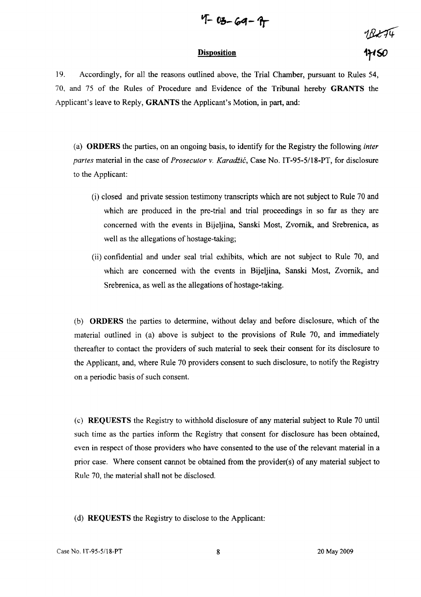$$
4 - 03 - 69 - 9
$$

#### **Disposition**

 $18274$ 

19. Accordingly, for all the reasons outlined above, the Trial Chamber, pursuant to Rules 54, 70, and 75 of the Rules of Procedure and Evidence of the Tribunal hereby **GRANTS** the Applicant's leave to Reply, **GRANTS** the Applicant's Motion, in part, and:

(a) **ORDERS** the parties, on an ongoing basis, to identify for the Registry the following *inter partes* material in the case of *Prosecutor* v. Karadžić, Case No. IT-95-51l8-PT, for disclosure to the Applicant:

- $(i)$  closed and private session testimony transcripts which are not subject to Rule 70 and which are produced in the pre-trial and trial proceedings in so far as they are concerned with the events in Bijeljina, Sanski Most, Zvornik, and Srebrenica, as well as the allegations of hostage-taking;
- (ii) confidential and under seal trial exhibits, which are not subject to Rule 70, and which are concerned with the events in Bijeljina, Sanski Most, Zvornik, and Srebrenica, as well as the allegations of hostage-taking.

(b) **ORDERS** the parties to determine, without delay and before disclosure, which of the material outlined in (a) above is subject to the provisions of Rule 70, and immediately thereafter to contact the providers of such material to seek their consent for its disclosure to the Applicant, and, where Rule 70 providers consent to such disclosure, to notify the Registry on a periodic basis of such consent.

(e) **REQUESTS** the Registry to withhold disclosure of any material subject to Rule 70 until such time as the parties inform the Registry that consent for disclosure has been obtained, even in respect of those providers who have consented to the use of the relevant material in a prior case. Where consent cannot be obtained from the provider(s) of any material subject to Rule 70, the material shall not be disclosed.

(d) **REQUESTS** the Registry to disclose to the Applicant: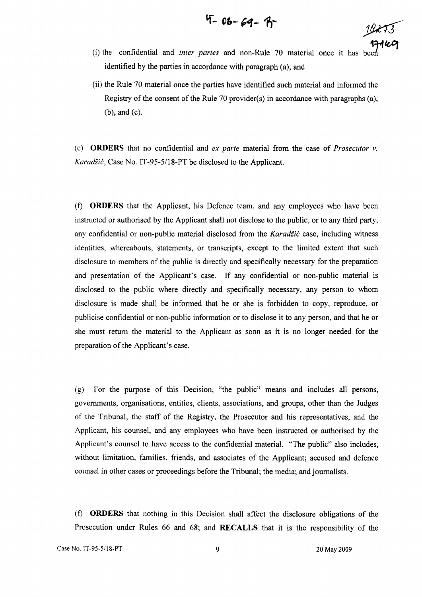$$
4 - 06 - 69 - 9 - 16
$$

**lf- Ob-** ~<f **- 11-** *)Jk13* 

- (i) the confidential and *inter partes* and non-Rule 70 material once it has identified by the parties in accordance with paragraph (a); and
- (ii) the Rule 70 material once the parties have identified such material and informed the Registry of the consent of the Rule 70 provider(s) in accordance with paragraphs (a), (b), and (c).

(e) **ORDERS** that no confidential and *ex parte* material from the case of *Prosecutor* v. Karadžić, Case No. IT-95-5/18-PT be disclosed to the Applicant.

(f) **ORDERS** that the Applicant, his Defence team, and any employees who have been instructed or authorised by the Applicant shall not disclose to the public, or to any third party, any confidential or non-public material disclosed from the Karadžić case, including witness identities, whereabouts, statements, or transcripts, except to the limited extent that such disclosure to members of the public is directly and specifically necessary for the preparation and presentation of the Applicant's case. If any confidential or non-public material is disclosed to the public where directly and specifically necessary, any person to whom disclosure is made shall be informed that he or she is forbidden to copy, reproduce, or publicise confidential or non-public information or to disclose it to any person, and that he or she must retum the material to the Applicant as soon as it is no longer needed for the preparation of the Applicant's case.

(g) For the purpose of this Decision, "the public" means and includes all persons, governments, organisations, entities, clients, associations, and groups, other than the Judges of the Tribunal, the staff of the Registry, the Prosecutor and his representatives, and the Applicant, his counsel, and any employees who have been instructed or authorised by the Applicant's counsel to have access to the confidential material. "The public" also includes, without limitation, families, friends, and associates of the Applicant; accused and defence counsel in other cases or proceedings before the Tribunal; the media; and journalists.

(f) **ORDERS** that nothing in this Decision shall affect the disclosure obligations of the Prosecution under Rules 66 and 68; and **RECALLS** that it is the responsibility of the